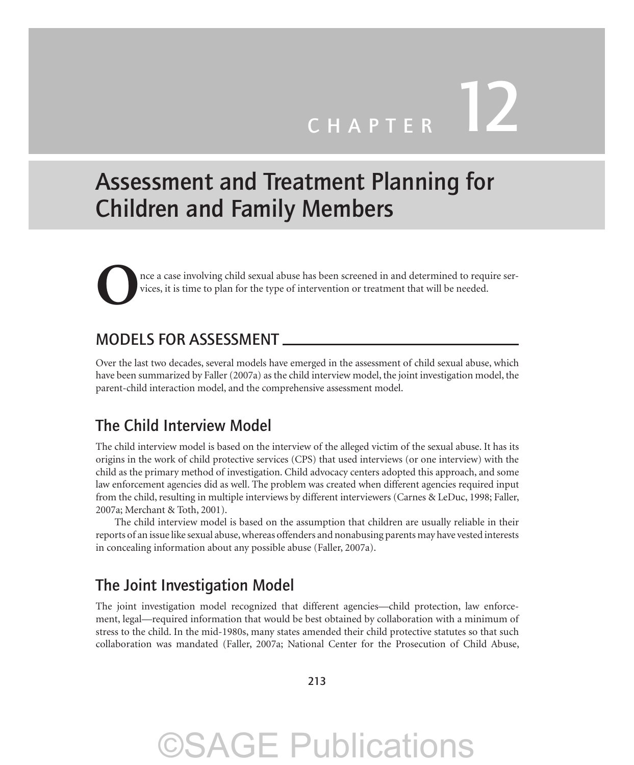## Assessment and Treatment Planning for Children and Family Members

The a case involving child sexual abuse has been screened in and determined to require services, it is time to plan for the type of intervention or treatment that will be needed. vices, it is time to plan for the type of intervention or treatment that will be needed.

## MODELS FOR ASSESSMENT

Over the last two decades, several models have emerged in the assessment of child sexual abuse, which have been summarized by Faller (2007a) as the child interview model, the joint investigation model, the parent-child interaction model, and the comprehensive assessment model.

## The Child Interview Model

The child interview model is based on the interview of the alleged victim of the sexual abuse. It has its origins in the work of child protective services (CPS) that used interviews (or one interview) with the child as the primary method of investigation. Child advocacy centers adopted this approach, and some law enforcement agencies did as well. The problem was created when different agencies required input from the child, resulting in multiple interviews by different interviewers (Carnes & LeDuc, 1998; Faller, 2007a; Merchant & Toth, 2001).

The child interview model is based on the assumption that children are usually reliable in their reports of an issue like sexual abuse, whereas offenders and nonabusing parents may have vested interests in concealing information about any possible abuse (Faller, 2007a).

## The Joint Investigation Model

The joint investigation model recognized that different agencies—child protection, law enforcement, legal—required information that would be best obtained by collaboration with a minimum of stress to the child. In the mid-1980s, many states amended their child protective statutes so that such collaboration was mandated (Faller, 2007a; National Center for the Prosecution of Child Abuse,

213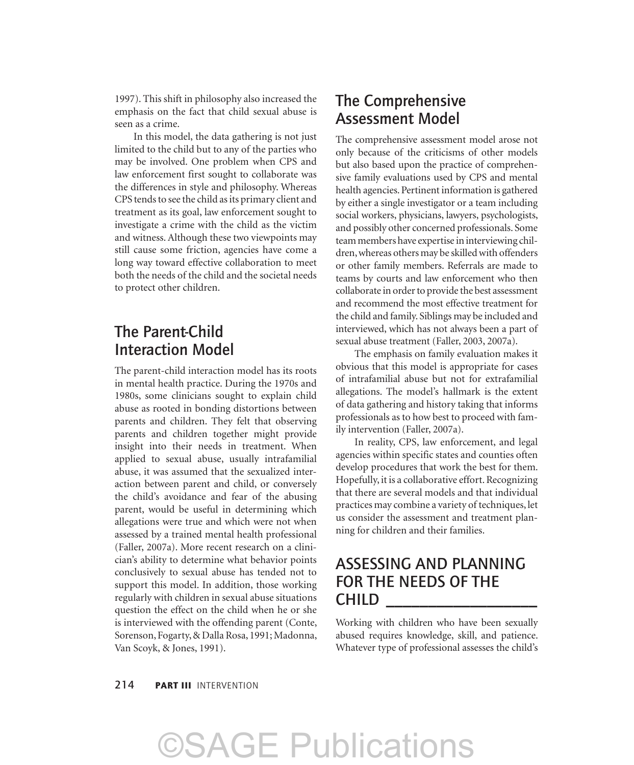1997). This shift in philosophy also increased the emphasis on the fact that child sexual abuse is seen as a crime.

In this model, the data gathering is not just limited to the child but to any of the parties who may be involved. One problem when CPS and law enforcement first sought to collaborate was the differences in style and philosophy. Whereas CPS tends to see the child as its primary client and treatment as its goal, law enforcement sought to investigate a crime with the child as the victim and witness. Although these two viewpoints may still cause some friction, agencies have come a long way toward effective collaboration to meet both the needs of the child and the societal needs to protect other children.

## The Parent-Child Interaction Model

The parent-child interaction model has its roots in mental health practice. During the 1970s and 1980s, some clinicians sought to explain child abuse as rooted in bonding distortions between parents and children. They felt that observing parents and children together might provide insight into their needs in treatment. When applied to sexual abuse, usually intrafamilial abuse, it was assumed that the sexualized interaction between parent and child, or conversely the child's avoidance and fear of the abusing parent, would be useful in determining which allegations were true and which were not when assessed by a trained mental health professional (Faller, 2007a). More recent research on a clinician's ability to determine what behavior points conclusively to sexual abuse has tended not to support this model. In addition, those working regularly with children in sexual abuse situations question the effect on the child when he or she is interviewed with the offending parent (Conte, Sorenson, Fogarty, & Dalla Rosa, 1991; Madonna, Van Scoyk, & Jones, 1991).

## The Comprehensive Assessment Model

The comprehensive assessment model arose not only because of the criticisms of other models but also based upon the practice of comprehensive family evaluations used by CPS and mental health agencies. Pertinent information is gathered by either a single investigator or a team including social workers, physicians, lawyers, psychologists, and possibly other concerned professionals. Some team members have expertise in interviewing children, whereas others may be skilled with offenders or other family members. Referrals are made to teams by courts and law enforcement who then collaborate in order to provide the best assessment and recommend the most effective treatment for the child and family. Siblings may be included and interviewed, which has not always been a part of sexual abuse treatment (Faller, 2003, 2007a).

The emphasis on family evaluation makes it obvious that this model is appropriate for cases of intrafamilial abuse but not for extrafamilial allegations. The model's hallmark is the extent of data gathering and history taking that informs professionals as to how best to proceed with family intervention (Faller, 2007a).

In reality, CPS, law enforcement, and legal agencies within specific states and counties often develop procedures that work the best for them. Hopefully, it is a collaborative effort. Recognizing that there are several models and that individual practices may combine a variety of techniques, let us consider the assessment and treatment planning for children and their families.

## ASSESSING AND PLANNING FOR THE NEEDS OF THE CHILD \_\_\_\_\_\_\_\_\_\_\_\_\_\_\_\_\_\_

Working with children who have been sexually abused requires knowledge, skill, and patience. Whatever type of professional assesses the child's

#### 214 **PART III** INTERVENTION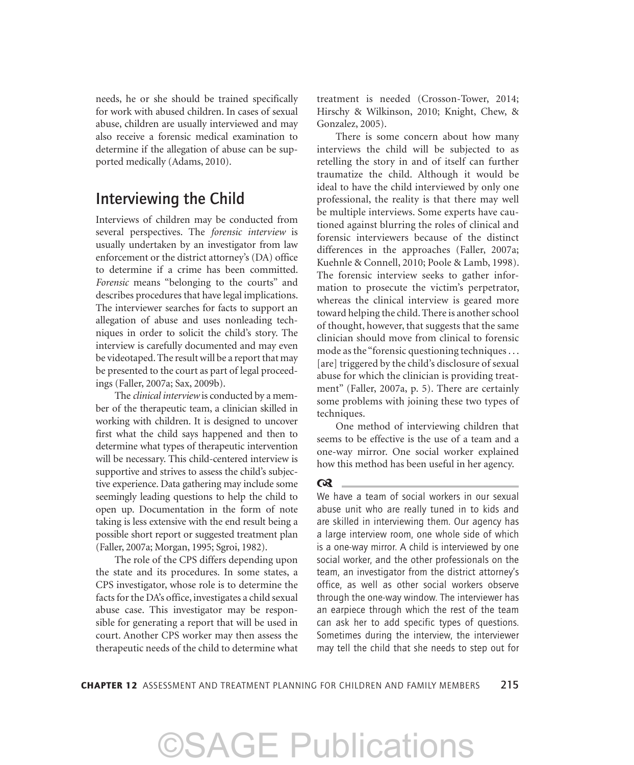needs, he or she should be trained specifically for work with abused children. In cases of sexual abuse, children are usually interviewed and may also receive a forensic medical examination to determine if the allegation of abuse can be supported medically (Adams, 2010).

### Interviewing the Child

Interviews of children may be conducted from several perspectives. The *forensic interview* is usually undertaken by an investigator from law enforcement or the district attorney's (DA) office to determine if a crime has been committed. *Forensic* means "belonging to the courts" and describes procedures that have legal implications. The interviewer searches for facts to support an allegation of abuse and uses nonleading techniques in order to solicit the child's story. The interview is carefully documented and may even be videotaped. The result will be a report that may be presented to the court as part of legal proceedings (Faller, 2007a; Sax, 2009b).

The *clinical interview* is conducted by a member of the therapeutic team, a clinician skilled in working with children. It is designed to uncover first what the child says happened and then to determine what types of therapeutic intervention will be necessary. This child-centered interview is supportive and strives to assess the child's subjective experience. Data gathering may include some seemingly leading questions to help the child to open up. Documentation in the form of note taking is less extensive with the end result being a possible short report or suggested treatment plan (Faller, 2007a; Morgan, 1995; Sgroi, 1982).

The role of the CPS differs depending upon the state and its procedures. In some states, a CPS investigator, whose role is to determine the facts for the DA's office, investigates a child sexual abuse case. This investigator may be responsible for generating a report that will be used in court. Another CPS worker may then assess the therapeutic needs of the child to determine what

treatment is needed (Crosson-Tower, 2014; Hirschy & Wilkinson, 2010; Knight, Chew, & Gonzalez, 2005).

There is some concern about how many interviews the child will be subjected to as retelling the story in and of itself can further traumatize the child. Although it would be ideal to have the child interviewed by only one professional, the reality is that there may well be multiple interviews. Some experts have cautioned against blurring the roles of clinical and forensic interviewers because of the distinct differences in the approaches (Faller, 2007a; Kuehnle & Connell, 2010; Poole & Lamb, 1998). The forensic interview seeks to gather information to prosecute the victim's perpetrator, whereas the clinical interview is geared more toward helping the child. There is another school of thought, however, that suggests that the same clinician should move from clinical to forensic mode as the "forensic questioning techniques . . . [are] triggered by the child's disclosure of sexual abuse for which the clinician is providing treatment" (Faller, 2007a, p. 5). There are certainly some problems with joining these two types of techniques.

One method of interviewing children that seems to be effective is the use of a team and a one-way mirror. One social worker explained how this method has been useful in her agency.

#### $\alpha$

We have a team of social workers in our sexual abuse unit who are really tuned in to kids and are skilled in interviewing them. Our agency has a large interview room, one whole side of which is a one-way mirror. A child is interviewed by one social worker, and the other professionals on the team, an investigator from the district attorney's office, as well as other social workers observe through the one-way window. The interviewer has an earpiece through which the rest of the team can ask her to add specific types of questions. Sometimes during the interview, the interviewer may tell the child that she needs to step out for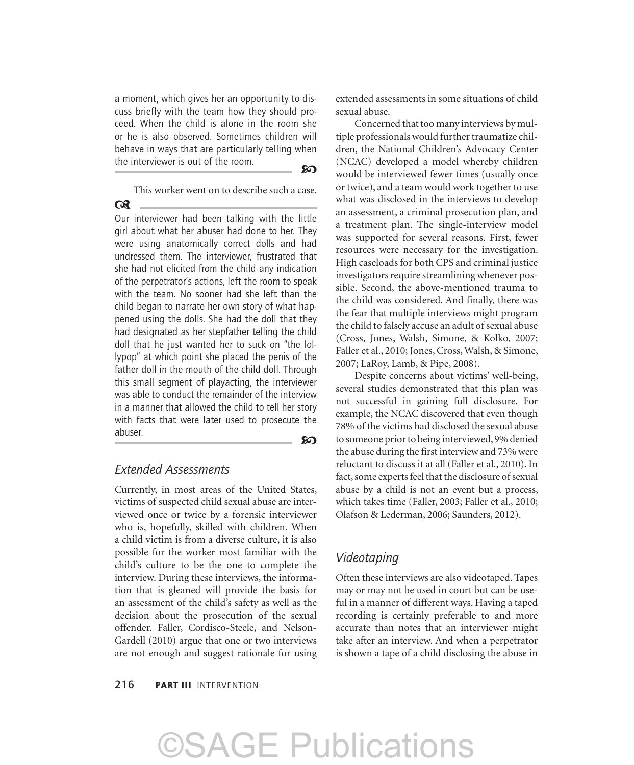a moment, which gives her an opportunity to discuss briefly with the team how they should proceed. When the child is alone in the room she or he is also observed. Sometimes children will behave in ways that are particularly telling when the interviewer is out of the room. G

This worker went on to describe such a case.

 $\boldsymbol{\alpha}$ 

Our interviewer had been talking with the little girl about what her abuser had done to her. They were using anatomically correct dolls and had undressed them. The interviewer, frustrated that she had not elicited from the child any indication of the perpetrator's actions, left the room to speak with the team. No sooner had she left than the child began to narrate her own story of what happened using the dolls. She had the doll that they had designated as her stepfather telling the child doll that he just wanted her to suck on "the lollypop" at which point she placed the penis of the father doll in the mouth of the child doll. Through this small segment of playacting, the interviewer was able to conduct the remainder of the interview in a manner that allowed the child to tell her story with facts that were later used to prosecute the abuser.

G

### *Extended Assessments*

Currently, in most areas of the United States, victims of suspected child sexual abuse are interviewed once or twice by a forensic interviewer who is, hopefully, skilled with children. When a child victim is from a diverse culture, it is also possible for the worker most familiar with the child's culture to be the one to complete the interview. During these interviews, the information that is gleaned will provide the basis for an assessment of the child's safety as well as the decision about the prosecution of the sexual offender. Faller, Cordisco-Steele, and Nelson-Gardell (2010) argue that one or two interviews are not enough and suggest rationale for using

#### 216 **PART III** INTERVENTION

extended assessments in some situations of child sexual abuse.

Concerned that too many interviews by multiple professionals would further traumatize children, the National Children's Advocacy Center (NCAC) developed a model whereby children would be interviewed fewer times (usually once or twice), and a team would work together to use what was disclosed in the interviews to develop an assessment, a criminal prosecution plan, and a treatment plan. The single-interview model was supported for several reasons. First, fewer resources were necessary for the investigation. High caseloads for both CPS and criminal justice investigators require streamlining whenever possible. Second, the above-mentioned trauma to the child was considered. And finally, there was the fear that multiple interviews might program the child to falsely accuse an adult of sexual abuse (Cross, Jones, Walsh, Simone, & Kolko, 2007; Faller et al., 2010; Jones, Cross, Walsh, & Simone, 2007; LaRoy, Lamb, & Pipe, 2008).

Despite concerns about victims' well-being, several studies demonstrated that this plan was not successful in gaining full disclosure. For example, the NCAC discovered that even though 78% of the victims had disclosed the sexual abuse to someone prior to being interviewed, 9% denied the abuse during the first interview and 73% were reluctant to discuss it at all (Faller et al., 2010). In fact, some experts feel that the disclosure of sexual abuse by a child is not an event but a process, which takes time (Faller, 2003; Faller et al., 2010; Olafson & Lederman, 2006; Saunders, 2012).

### *Videotaping*

Often these interviews are also videotaped. Tapes may or may not be used in court but can be useful in a manner of different ways. Having a taped recording is certainly preferable to and more accurate than notes that an interviewer might take after an interview. And when a perpetrator is shown a tape of a child disclosing the abuse in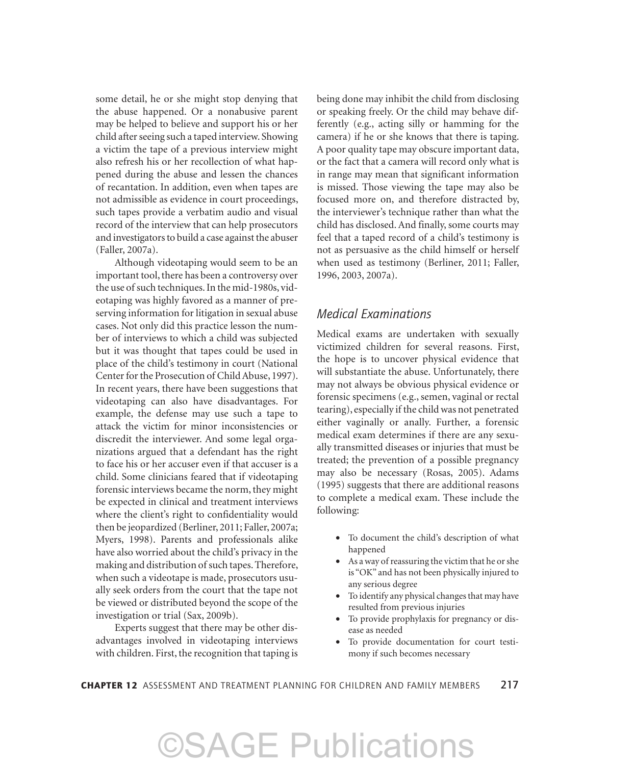some detail, he or she might stop denying that the abuse happened. Or a nonabusive parent may be helped to believe and support his or her child after seeing such a taped interview. Showing a victim the tape of a previous interview might also refresh his or her recollection of what happened during the abuse and lessen the chances of recantation. In addition, even when tapes are not admissible as evidence in court proceedings, such tapes provide a verbatim audio and visual record of the interview that can help prosecutors and investigators to build a case against the abuser (Faller, 2007a).

Although videotaping would seem to be an important tool, there has been a controversy over the use of such techniques. In the mid-1980s, videotaping was highly favored as a manner of preserving information for litigation in sexual abuse cases. Not only did this practice lesson the number of interviews to which a child was subjected but it was thought that tapes could be used in place of the child's testimony in court (National Center for the Prosecution of Child Abuse, 1997). In recent years, there have been suggestions that videotaping can also have disadvantages. For example, the defense may use such a tape to attack the victim for minor inconsistencies or discredit the interviewer. And some legal organizations argued that a defendant has the right to face his or her accuser even if that accuser is a child. Some clinicians feared that if videotaping forensic interviews became the norm, they might be expected in clinical and treatment interviews where the client's right to confidentiality would then be jeopardized (Berliner, 2011; Faller, 2007a; Myers, 1998). Parents and professionals alike have also worried about the child's privacy in the making and distribution of such tapes. Therefore, when such a videotape is made, prosecutors usually seek orders from the court that the tape not be viewed or distributed beyond the scope of the investigation or trial (Sax, 2009b).

Experts suggest that there may be other disadvantages involved in videotaping interviews with children. First, the recognition that taping is

being done may inhibit the child from disclosing or speaking freely. Or the child may behave differently (e.g., acting silly or hamming for the camera) if he or she knows that there is taping. A poor quality tape may obscure important data, or the fact that a camera will record only what is in range may mean that significant information is missed. Those viewing the tape may also be focused more on, and therefore distracted by, the interviewer's technique rather than what the child has disclosed. And finally, some courts may feel that a taped record of a child's testimony is not as persuasive as the child himself or herself when used as testimony (Berliner, 2011; Faller, 1996, 2003, 2007a).

### *Medical Examinations*

Medical exams are undertaken with sexually victimized children for several reasons. First, the hope is to uncover physical evidence that will substantiate the abuse. Unfortunately, there may not always be obvious physical evidence or forensic specimens (e.g., semen, vaginal or rectal tearing), especially if the child was not penetrated either vaginally or anally. Further, a forensic medical exam determines if there are any sexually transmitted diseases or injuries that must be treated; the prevention of a possible pregnancy may also be necessary (Rosas, 2005). Adams (1995) suggests that there are additional reasons to complete a medical exam. These include the following:

- To document the child's description of what happened
- As a way of reassuring the victim that he or she is "OK" and has not been physically injured to any serious degree
- To identify any physical changes that may have resulted from previous injuries
- To provide prophylaxis for pregnancy or disease as needed
- To provide documentation for court testimony if such becomes necessary

CHAPTER 12 ASSESSMENT AND TREATMENT PLANNING FOR CHILDREN AND FAMILY MEMBERS 217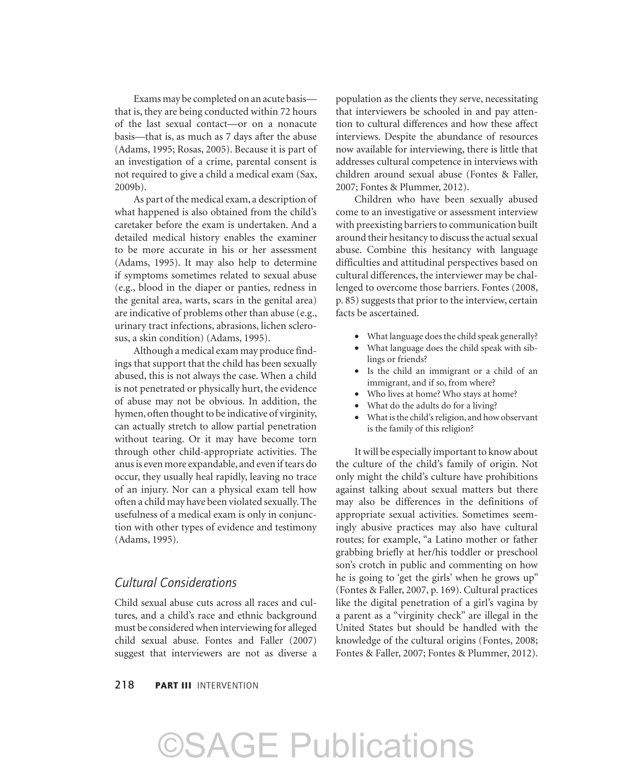Exams may be completed on an acute basis that is, they are being conducted within 72 hours of the last sexual contact—or on a nonacute basis—that is, as much as 7 days after the abuse (Adams, 1995; Rosas, 2005). Because it is part of an investigation of a crime, parental consent is not required to give a child a medical exam (Sax, 2009b).

As part of the medical exam, a description of what happened is also obtained from the child's caretaker before the exam is undertaken. And a detailed medical history enables the examiner to be more accurate in his or her assessment (Adams, 1995). It may also help to determine if symptoms sometimes related to sexual abuse (e.g., blood in the diaper or panties, redness in the genital area, warts, scars in the genital area) are indicative of problems other than abuse (e.g., urinary tract infections, abrasions, lichen sclerosus, a skin condition) (Adams, 1995).

Although a medical exam may produce findings that support that the child has been sexually abused, this is not always the case. When a child is not penetrated or physically hurt, the evidence of abuse may not be obvious. In addition, the hymen, often thought to be indicative of virginity, can actually stretch to allow partial penetration without tearing. Or it may have become torn through other child-appropriate activities. The anus is even more expandable, and even if tears do occur, they usually heal rapidly, leaving no trace of an injury. Nor can a physical exam tell how often a child may have been violated sexually. The usefulness of a medical exam is only in conjunction with other types of evidence and testimony (Adams, 1995).

### *Cultural Considerations*

Child sexual abuse cuts across all races and cultures, and a child's race and ethnic background must be considered when interviewing for alleged child sexual abuse. Fontes and Faller (2007) suggest that interviewers are not as diverse a population as the clients they serve, necessitating that interviewers be schooled in and pay attention to cultural differences and how these affect interviews. Despite the abundance of resources now available for interviewing, there is little that addresses cultural competence in interviews with children around sexual abuse (Fontes & Faller, 2007; Fontes & Plummer, 2012).

Children who have been sexually abused come to an investigative or assessment interview with preexisting barriers to communication built around their hesitancy to discuss the actual sexual abuse. Combine this hesitancy with language difficulties and attitudinal perspectives based on cultural differences, the interviewer may be challenged to overcome those barriers. Fontes (2008, p. 85) suggests that prior to the interview, certain facts be ascertained.

- What language does the child speak generally?
- What language does the child speak with siblings or friends?
- Is the child an immigrant or a child of an immigrant, and if so, from where?
- Who lives at home? Who stays at home?
- What do the adults do for a living?
- What is the child's religion, and how observant is the family of this religion?

It will be especially important to know about the culture of the child's family of origin. Not only might the child's culture have prohibitions against talking about sexual matters but there may also be differences in the definitions of appropriate sexual activities. Sometimes seemingly abusive practices may also have cultural routes; for example, "a Latino mother or father grabbing briefly at her/his toddler or preschool son's crotch in public and commenting on how he is going to 'get the girls' when he grows up" (Fontes & Faller, 2007, p. 169). Cultural practices like the digital penetration of a girl's vagina by a parent as a "virginity check" are illegal in the United States but should be handled with the knowledge of the cultural origins (Fontes, 2008; Fontes & Faller, 2007; Fontes & Plummer, 2012).

#### 218 **PART III** INTERVENTION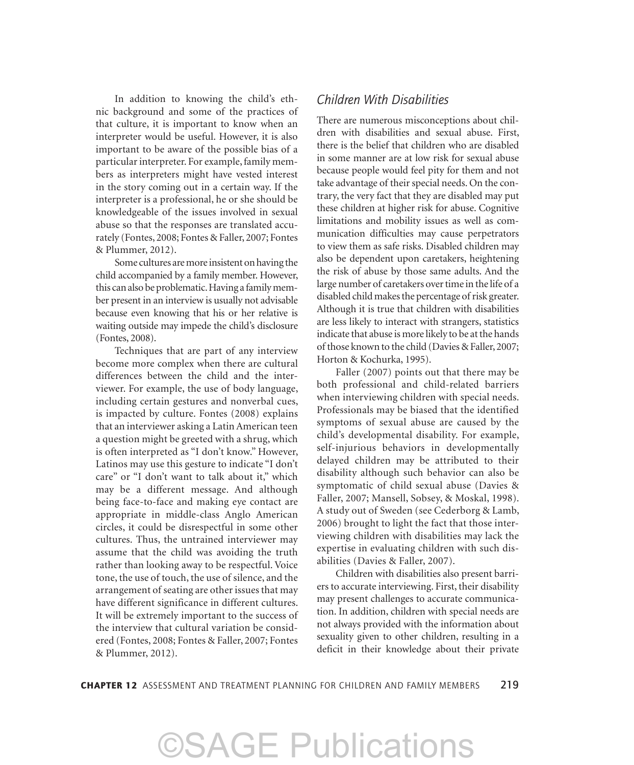In addition to knowing the child's ethnic background and some of the practices of that culture, it is important to know when an interpreter would be useful. However, it is also important to be aware of the possible bias of a particular interpreter. For example, family members as interpreters might have vested interest in the story coming out in a certain way. If the interpreter is a professional, he or she should be knowledgeable of the issues involved in sexual abuse so that the responses are translated accurately (Fontes, 2008; Fontes & Faller, 2007; Fontes & Plummer, 2012).

Some cultures are more insistent on having the child accompanied by a family member. However, this can also be problematic. Having a family member present in an interview is usually not advisable because even knowing that his or her relative is waiting outside may impede the child's disclosure (Fontes, 2008).

Techniques that are part of any interview become more complex when there are cultural differences between the child and the interviewer. For example, the use of body language, including certain gestures and nonverbal cues, is impacted by culture. Fontes (2008) explains that an interviewer asking a Latin American teen a question might be greeted with a shrug, which is often interpreted as "I don't know." However, Latinos may use this gesture to indicate "I don't care" or "I don't want to talk about it," which may be a different message. And although being face-to-face and making eye contact are appropriate in middle-class Anglo American circles, it could be disrespectful in some other cultures. Thus, the untrained interviewer may assume that the child was avoiding the truth rather than looking away to be respectful. Voice tone, the use of touch, the use of silence, and the arrangement of seating are other issues that may have different significance in different cultures. It will be extremely important to the success of the interview that cultural variation be considered (Fontes, 2008; Fontes & Faller, 2007; Fontes & Plummer, 2012).

### *Children With Disabilities*

There are numerous misconceptions about children with disabilities and sexual abuse. First, there is the belief that children who are disabled in some manner are at low risk for sexual abuse because people would feel pity for them and not take advantage of their special needs. On the contrary, the very fact that they are disabled may put these children at higher risk for abuse. Cognitive limitations and mobility issues as well as communication difficulties may cause perpetrators to view them as safe risks. Disabled children may also be dependent upon caretakers, heightening the risk of abuse by those same adults. And the large number of caretakers over time in the life of a disabled child makes the percentage of risk greater. Although it is true that children with disabilities are less likely to interact with strangers, statistics indicate that abuse is more likely to be at the hands of those known to the child (Davies & Faller, 2007; Horton & Kochurka, 1995).

Faller (2007) points out that there may be both professional and child-related barriers when interviewing children with special needs. Professionals may be biased that the identified symptoms of sexual abuse are caused by the child's developmental disability. For example, self-injurious behaviors in developmentally delayed children may be attributed to their disability although such behavior can also be symptomatic of child sexual abuse (Davies & Faller, 2007; Mansell, Sobsey, & Moskal, 1998). A study out of Sweden (see Cederborg & Lamb, 2006) brought to light the fact that those interviewing children with disabilities may lack the expertise in evaluating children with such disabilities (Davies & Faller, 2007).

Children with disabilities also present barriers to accurate interviewing. First, their disability may present challenges to accurate communication. In addition, children with special needs are not always provided with the information about sexuality given to other children, resulting in a deficit in their knowledge about their private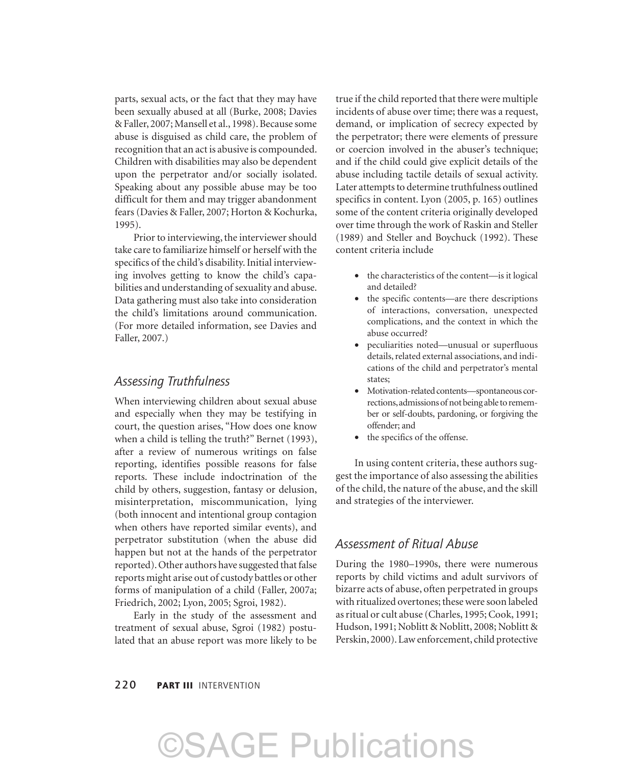parts, sexual acts, or the fact that they may have been sexually abused at all (Burke, 2008; Davies & Faller, 2007; Mansell et al., 1998). Because some abuse is disguised as child care, the problem of recognition that an act is abusive is compounded. Children with disabilities may also be dependent upon the perpetrator and/or socially isolated. Speaking about any possible abuse may be too difficult for them and may trigger abandonment fears (Davies & Faller, 2007; Horton & Kochurka, 1995).

Prior to interviewing, the interviewer should take care to familiarize himself or herself with the specifics of the child's disability. Initial interviewing involves getting to know the child's capabilities and understanding of sexuality and abuse. Data gathering must also take into consideration the child's limitations around communication. (For more detailed information, see Davies and Faller, 2007.)

### *Assessing Truthfulness*

When interviewing children about sexual abuse and especially when they may be testifying in court, the question arises, "How does one know when a child is telling the truth?" Bernet (1993), after a review of numerous writings on false reporting, identifies possible reasons for false reports. These include indoctrination of the child by others, suggestion, fantasy or delusion, misinterpretation, miscommunication, lying (both innocent and intentional group contagion when others have reported similar events), and perpetrator substitution (when the abuse did happen but not at the hands of the perpetrator reported). Other authors have suggested that false reports might arise out of custody battles or other forms of manipulation of a child (Faller, 2007a; Friedrich, 2002; Lyon, 2005; Sgroi, 1982).

Early in the study of the assessment and treatment of sexual abuse, Sgroi (1982) postulated that an abuse report was more likely to be

true if the child reported that there were multiple incidents of abuse over time; there was a request, demand, or implication of secrecy expected by the perpetrator; there were elements of pressure or coercion involved in the abuser's technique; and if the child could give explicit details of the abuse including tactile details of sexual activity. Later attempts to determine truthfulness outlined specifics in content. Lyon (2005, p. 165) outlines some of the content criteria originally developed over time through the work of Raskin and Steller (1989) and Steller and Boychuck (1992). These content criteria include

- the characteristics of the content—is it logical and detailed?
- the specific contents—are there descriptions of interactions, conversation, unexpected complications, and the context in which the abuse occurred?
- peculiarities noted—unusual or superfluous details, related external associations, and indications of the child and perpetrator's mental states;
- Motivation-related contents—spontaneous corrections, admissions of not being able to remember or self-doubts, pardoning, or forgiving the offender; and
- the specifics of the offense.

In using content criteria, these authors suggest the importance of also assessing the abilities of the child, the nature of the abuse, and the skill and strategies of the interviewer.

#### *Assessment of Ritual Abuse*

During the 1980–1990s, there were numerous reports by child victims and adult survivors of bizarre acts of abuse, often perpetrated in groups with ritualized overtones; these were soon labeled as ritual or cult abuse (Charles, 1995; Cook, 1991; Hudson, 1991; Noblitt & Noblitt, 2008; Noblitt & Perskin, 2000). Law enforcement, child protective

#### 220 **PART III** INTERVENTION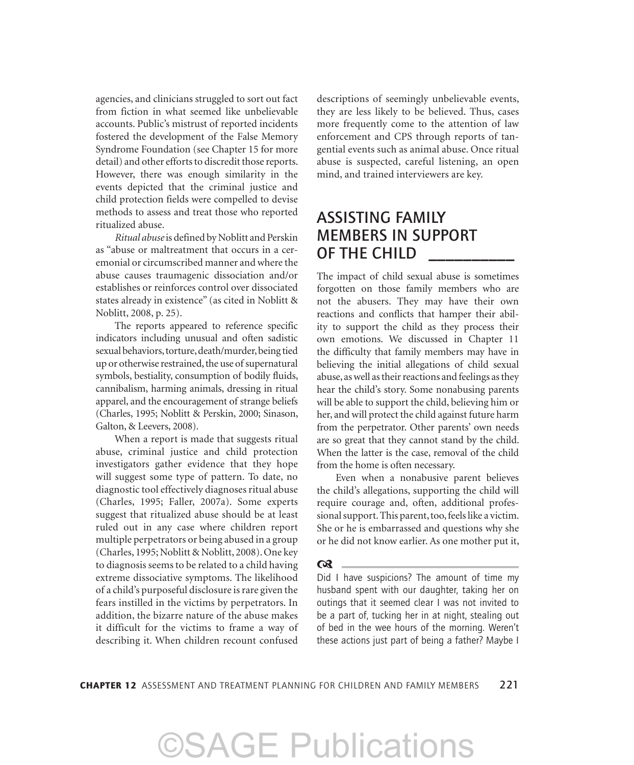agencies, and clinicians struggled to sort out fact from fiction in what seemed like unbelievable accounts. Public's mistrust of reported incidents fostered the development of the False Memory Syndrome Foundation (see Chapter 15 for more detail) and other efforts to discredit those reports. However, there was enough similarity in the events depicted that the criminal justice and child protection fields were compelled to devise methods to assess and treat those who reported ritualized abuse.

*Ritual abuse* is defined by Noblitt and Perskin as "abuse or maltreatment that occurs in a ceremonial or circumscribed manner and where the abuse causes traumagenic dissociation and/or establishes or reinforces control over dissociated states already in existence" (as cited in Noblitt & Noblitt, 2008, p. 25).

The reports appeared to reference specific indicators including unusual and often sadistic sexual behaviors, torture, death/murder, being tied up or otherwise restrained, the use of supernatural symbols, bestiality, consumption of bodily fluids, cannibalism, harming animals, dressing in ritual apparel, and the encouragement of strange beliefs (Charles, 1995; Noblitt & Perskin, 2000; Sinason, Galton, & Leevers, 2008).

When a report is made that suggests ritual abuse, criminal justice and child protection investigators gather evidence that they hope will suggest some type of pattern. To date, no diagnostic tool effectively diagnoses ritual abuse (Charles, 1995; Faller, 2007a). Some experts suggest that ritualized abuse should be at least ruled out in any case where children report multiple perpetrators or being abused in a group (Charles, 1995; Noblitt & Noblitt, 2008). One key to diagnosis seems to be related to a child having extreme dissociative symptoms. The likelihood of a child's purposeful disclosure is rare given the fears instilled in the victims by perpetrators. In addition, the bizarre nature of the abuse makes it difficult for the victims to frame a way of describing it. When children recount confused

descriptions of seemingly unbelievable events, they are less likely to be believed. Thus, cases more frequently come to the attention of law enforcement and CPS through reports of tangential events such as animal abuse. Once ritual abuse is suspected, careful listening, an open mind, and trained interviewers are key.

## ASSISTING FAMILY MEMBERS IN SUPPORT OF THE CHILD \_\_\_\_\_\_\_\_\_\_

The impact of child sexual abuse is sometimes forgotten on those family members who are not the abusers. They may have their own reactions and conflicts that hamper their ability to support the child as they process their own emotions. We discussed in Chapter 11 the difficulty that family members may have in believing the initial allegations of child sexual abuse, as well as their reactions and feelings as they hear the child's story. Some nonabusing parents will be able to support the child, believing him or her, and will protect the child against future harm from the perpetrator. Other parents' own needs are so great that they cannot stand by the child. When the latter is the case, removal of the child from the home is often necessary.

Even when a nonabusive parent believes the child's allegations, supporting the child will require courage and, often, additional professional support. This parent, too, feels like a victim. She or he is embarrassed and questions why she or he did not know earlier. As one mother put it,

#### $\alpha$

Did I have suspicions? The amount of time my husband spent with our daughter, taking her on outings that it seemed clear I was not invited to be a part of, tucking her in at night, stealing out of bed in the wee hours of the morning. Weren't these actions just part of being a father? Maybe I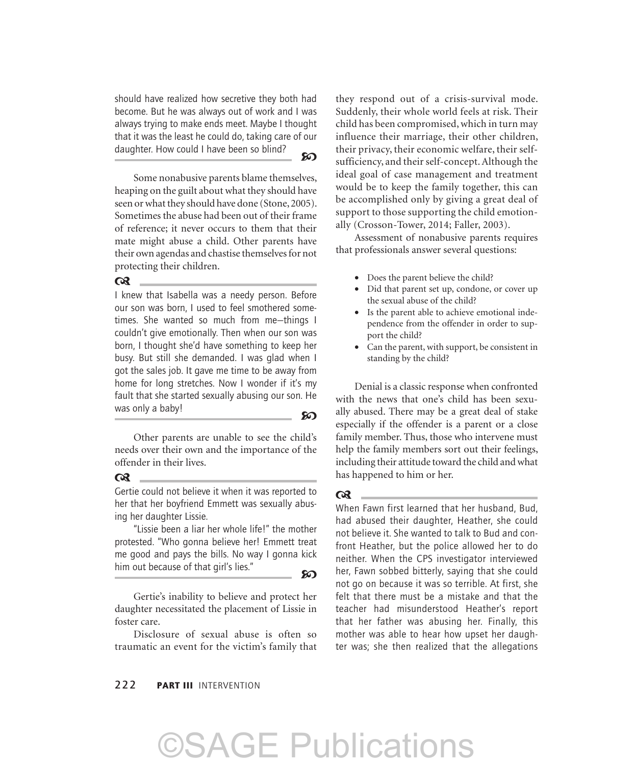should have realized how secretive they both had become. But he was always out of work and I was always trying to make ends meet. Maybe I thought that it was the least he could do, taking care of our daughter. How could I have been so blind? G

Some nonabusive parents blame themselves, heaping on the guilt about what they should have seen or what they should have done (Stone, 2005). Sometimes the abuse had been out of their frame of reference; it never occurs to them that their mate might abuse a child. Other parents have their own agendas and chastise themselves for not protecting their children.

#### $\alpha$

I knew that Isabella was a needy person. Before our son was born, I used to feel smothered sometimes. She wanted so much from me—things I couldn't give emotionally. Then when our son was born, I thought she'd have something to keep her busy. But still she demanded. I was glad when I got the sales job. It gave me time to be away from home for long stretches. Now I wonder if it's my fault that she started sexually abusing our son. He was only a baby!  $\infty$ 

Other parents are unable to see the child's needs over their own and the importance of the offender in their lives.

#### $\boldsymbol{\alpha}$

Gertie could not believe it when it was reported to her that her boyfriend Emmett was sexually abusing her daughter Lissie.

"Lissie been a liar her whole life!" the mother protested. "Who gonna believe her! Emmett treat me good and pays the bills. No way I gonna kick him out because of that girl's lies." G

Gertie's inability to believe and protect her daughter necessitated the placement of Lissie in foster care.

Disclosure of sexual abuse is often so traumatic an event for the victim's family that they respond out of a crisis-survival mode. Suddenly, their whole world feels at risk. Their child has been compromised, which in turn may influence their marriage, their other children, their privacy, their economic welfare, their selfsufficiency, and their self-concept. Although the ideal goal of case management and treatment would be to keep the family together, this can be accomplished only by giving a great deal of support to those supporting the child emotionally (Crosson-Tower, 2014; Faller, 2003).

Assessment of nonabusive parents requires that professionals answer several questions:

- Does the parent believe the child?
- Did that parent set up, condone, or cover up the sexual abuse of the child?
- Is the parent able to achieve emotional independence from the offender in order to support the child?
- Can the parent, with support, be consistent in standing by the child?

Denial is a classic response when confronted with the news that one's child has been sexually abused. There may be a great deal of stake especially if the offender is a parent or a close family member. Thus, those who intervene must help the family members sort out their feelings, including their attitude toward the child and what has happened to him or her.

#### $\boldsymbol{\alpha}$

When Fawn first learned that her husband, Bud, had abused their daughter, Heather, she could not believe it. She wanted to talk to Bud and confront Heather, but the police allowed her to do neither. When the CPS investigator interviewed her, Fawn sobbed bitterly, saying that she could not go on because it was so terrible. At first, she felt that there must be a mistake and that the teacher had misunderstood Heather's report that her father was abusing her. Finally, this mother was able to hear how upset her daughter was; she then realized that the allegations

#### 222 **PART III** INTERVENTION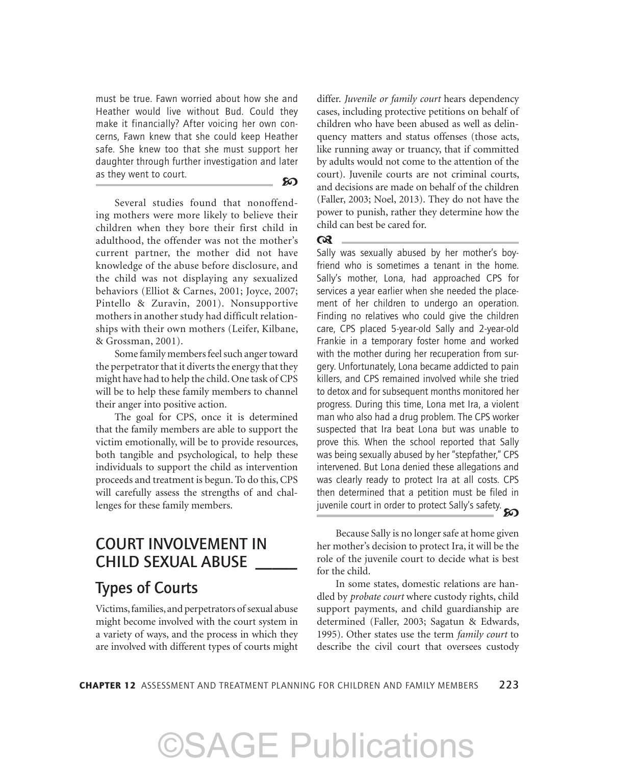must be true. Fawn worried about how she and Heather would live without Bud. Could they make it financially? After voicing her own concerns, Fawn knew that she could keep Heather safe. She knew too that she must support her daughter through further investigation and later as they went to court.

G

Several studies found that nonoffending mothers were more likely to believe their children when they bore their first child in adulthood, the offender was not the mother's current partner, the mother did not have knowledge of the abuse before disclosure, and the child was not displaying any sexualized behaviors (Elliot & Carnes, 2001; Joyce, 2007; Pintello & Zuravin, 2001). Nonsupportive mothers in another study had difficult relationships with their own mothers (Leifer, Kilbane, & Grossman, 2001).

Some family members feel such anger toward the perpetrator that it diverts the energy that they might have had to help the child. One task of CPS will be to help these family members to channel their anger into positive action.

The goal for CPS, once it is determined that the family members are able to support the victim emotionally, will be to provide resources, both tangible and psychological, to help these individuals to support the child as intervention proceeds and treatment is begun. To do this, CPS will carefully assess the strengths of and challenges for these family members.

## COURT INVOLVEMENT IN CHILD SEXUAL ABUSE

## Types of Courts

Victims, families, and perpetrators of sexual abuse might become involved with the court system in a variety of ways, and the process in which they are involved with different types of courts might differ. *Juvenile or family court* hears dependency cases, including protective petitions on behalf of children who have been abused as well as delinquency matters and status offenses (those acts, like running away or truancy, that if committed by adults would not come to the attention of the court). Juvenile courts are not criminal courts, and decisions are made on behalf of the children (Faller, 2003; Noel, 2013). They do not have the power to punish, rather they determine how the child can best be cared for.

 $\boldsymbol{\alpha}$ 

Sally was sexually abused by her mother's boyfriend who is sometimes a tenant in the home. Sally's mother, Lona, had approached CPS for services a year earlier when she needed the placement of her children to undergo an operation. Finding no relatives who could give the children care, CPS placed 5-year-old Sally and 2-year-old Frankie in a temporary foster home and worked with the mother during her recuperation from surgery. Unfortunately, Lona became addicted to pain killers, and CPS remained involved while she tried to detox and for subsequent months monitored her progress. During this time, Lona met Ira, a violent man who also had a drug problem. The CPS worker suspected that Ira beat Lona but was unable to prove this. When the school reported that Sally was being sexually abused by her "stepfather," CPS intervened. But Lona denied these allegations and was clearly ready to protect Ira at all costs. CPS then determined that a petition must be filed in juvenile court in order to protect Sally's safety.<br>
So

Because Sally is no longer safe at home given her mother's decision to protect Ira, it will be the role of the juvenile court to decide what is best for the child.

In some states, domestic relations are handled by *probate court* where custody rights, child support payments, and child guardianship are determined (Faller, 2003; Sagatun & Edwards, 1995). Other states use the term *family court* to describe the civil court that oversees custody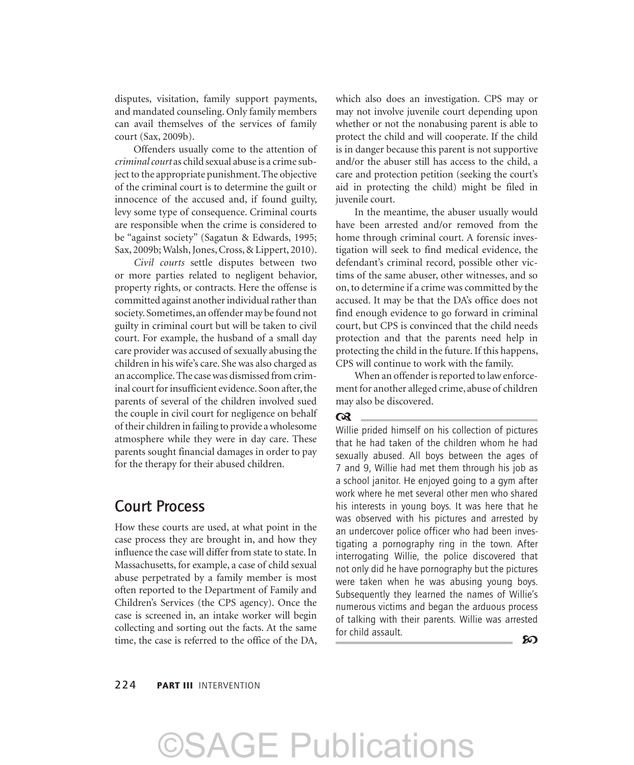disputes, visitation, family support payments, and mandated counseling. Only family members can avail themselves of the services of family court (Sax, 2009b).

Offenders usually come to the attention of *criminal court* as child sexual abuse is a crime subject to the appropriate punishment. The objective of the criminal court is to determine the guilt or innocence of the accused and, if found guilty, levy some type of consequence. Criminal courts are responsible when the crime is considered to be "against society" (Sagatun & Edwards, 1995; Sax, 2009b; Walsh, Jones, Cross, & Lippert, 2010).

*Civil courts* settle disputes between two or more parties related to negligent behavior, property rights, or contracts. Here the offense is committed against another individual rather than society. Sometimes, an offender may be found not guilty in criminal court but will be taken to civil court. For example, the husband of a small day care provider was accused of sexually abusing the children in his wife's care. She was also charged as an accomplice. The case was dismissed from criminal court for insufficient evidence. Soon after, the parents of several of the children involved sued the couple in civil court for negligence on behalf of their children in failing to provide a wholesome atmosphere while they were in day care. These parents sought financial damages in order to pay for the therapy for their abused children.

### Court Process

How these courts are used, at what point in the case process they are brought in, and how they influence the case will differ from state to state. In Massachusetts, for example, a case of child sexual abuse perpetrated by a family member is most often reported to the Department of Family and Children's Services (the CPS agency). Once the case is screened in, an intake worker will begin collecting and sorting out the facts. At the same time, the case is referred to the office of the DA,

which also does an investigation. CPS may or may not involve juvenile court depending upon whether or not the nonabusing parent is able to protect the child and will cooperate. If the child is in danger because this parent is not supportive and/or the abuser still has access to the child, a care and protection petition (seeking the court's aid in protecting the child) might be filed in juvenile court.

In the meantime, the abuser usually would have been arrested and/or removed from the home through criminal court. A forensic investigation will seek to find medical evidence, the defendant's criminal record, possible other victims of the same abuser, other witnesses, and so on, to determine if a crime was committed by the accused. It may be that the DA's office does not find enough evidence to go forward in criminal court, but CPS is convinced that the child needs protection and that the parents need help in protecting the child in the future. If this happens, CPS will continue to work with the family.

When an offender is reported to law enforcement for another alleged crime, abuse of children may also be discovered.

#### $\boldsymbol{\alpha}$

Willie prided himself on his collection of pictures that he had taken of the children whom he had sexually abused. All boys between the ages of 7 and 9, Willie had met them through his job as a school janitor. He enjoyed going to a gym after work where he met several other men who shared his interests in young boys. It was here that he was observed with his pictures and arrested by an undercover police officer who had been investigating a pornography ring in the town. After interrogating Willie, the police discovered that not only did he have pornography but the pictures were taken when he was abusing young boys. Subsequently they learned the names of Willie's numerous victims and began the arduous process of talking with their parents. Willie was arrested for child assault. ဢ

#### 224 **PART III** INTERVENTION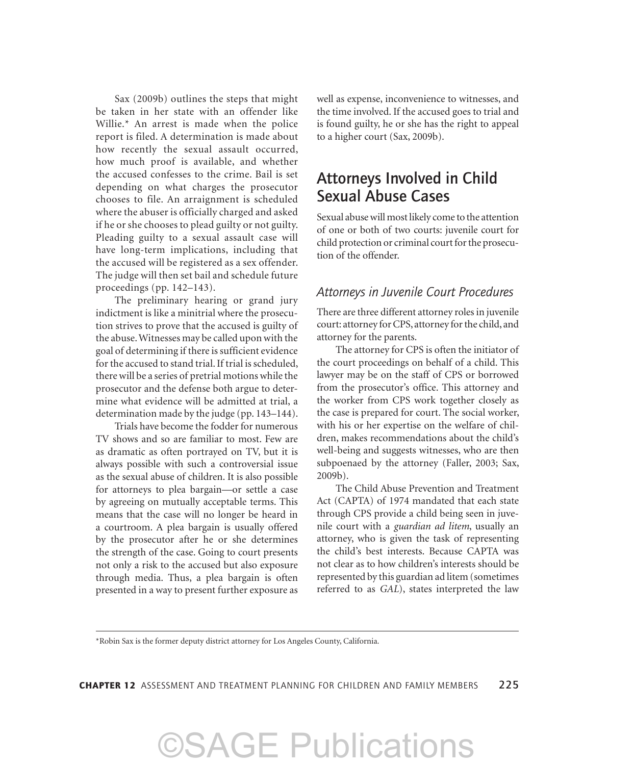Sax (2009b) outlines the steps that might be taken in her state with an offender like Willie.\* An arrest is made when the police report is filed. A determination is made about how recently the sexual assault occurred, how much proof is available, and whether the accused confesses to the crime. Bail is set depending on what charges the prosecutor chooses to file. An arraignment is scheduled where the abuser is officially charged and asked if he or she chooses to plead guilty or not guilty. Pleading guilty to a sexual assault case will have long-term implications, including that the accused will be registered as a sex offender. The judge will then set bail and schedule future proceedings (pp. 142–143).

The preliminary hearing or grand jury indictment is like a minitrial where the prosecution strives to prove that the accused is guilty of the abuse. Witnesses may be called upon with the goal of determining if there is sufficient evidence for the accused to stand trial. If trial is scheduled, there will be a series of pretrial motions while the prosecutor and the defense both argue to determine what evidence will be admitted at trial, a determination made by the judge (pp. 143–144).

Trials have become the fodder for numerous TV shows and so are familiar to most. Few are as dramatic as often portrayed on TV, but it is always possible with such a controversial issue as the sexual abuse of children. It is also possible for attorneys to plea bargain—or settle a case by agreeing on mutually acceptable terms. This means that the case will no longer be heard in a courtroom. A plea bargain is usually offered by the prosecutor after he or she determines the strength of the case. Going to court presents not only a risk to the accused but also exposure through media. Thus, a plea bargain is often presented in a way to present further exposure as

well as expense, inconvenience to witnesses, and the time involved. If the accused goes to trial and is found guilty, he or she has the right to appeal to a higher court (Sax, 2009b).

## Attorneys Involved in Child Sexual Abuse Cases

Sexual abuse will most likely come to the attention of one or both of two courts: juvenile court for child protection or criminal court for the prosecution of the offender.

### *Attorneys in Juvenile Court Procedures*

There are three different attorney roles in juvenile court: attorney for CPS, attorney for the child, and attorney for the parents.

The attorney for CPS is often the initiator of the court proceedings on behalf of a child. This lawyer may be on the staff of CPS or borrowed from the prosecutor's office. This attorney and the worker from CPS work together closely as the case is prepared for court. The social worker, with his or her expertise on the welfare of children, makes recommendations about the child's well-being and suggests witnesses, who are then subpoenaed by the attorney (Faller, 2003; Sax, 2009b).

The Child Abuse Prevention and Treatment Act (CAPTA) of 1974 mandated that each state through CPS provide a child being seen in juvenile court with a *guardian ad litem*, usually an attorney, who is given the task of representing the child's best interests. Because CAPTA was not clear as to how children's interests should be represented by this guardian ad litem (sometimes referred to as *GAL*), states interpreted the law

\*Robin Sax is the former deputy district attorney for Los Angeles County, California.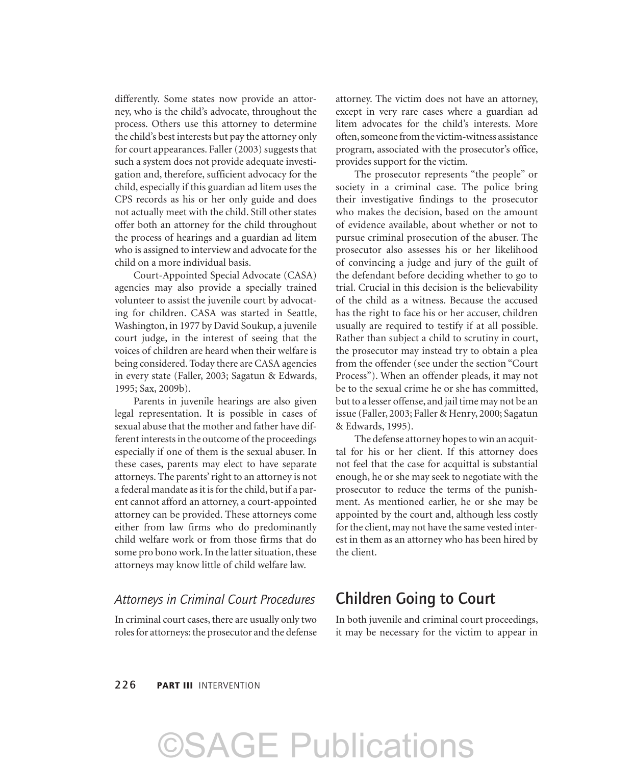differently. Some states now provide an attorney, who is the child's advocate, throughout the process. Others use this attorney to determine the child's best interests but pay the attorney only for court appearances. Faller (2003) suggests that such a system does not provide adequate investigation and, therefore, sufficient advocacy for the child, especially if this guardian ad litem uses the CPS records as his or her only guide and does not actually meet with the child. Still other states offer both an attorney for the child throughout the process of hearings and a guardian ad litem who is assigned to interview and advocate for the child on a more individual basis.

Court-Appointed Special Advocate (CASA) agencies may also provide a specially trained volunteer to assist the juvenile court by advocating for children. CASA was started in Seattle, Washington, in 1977 by David Soukup, a juvenile court judge, in the interest of seeing that the voices of children are heard when their welfare is being considered. Today there are CASA agencies in every state (Faller, 2003; Sagatun & Edwards, 1995; Sax, 2009b).

Parents in juvenile hearings are also given legal representation. It is possible in cases of sexual abuse that the mother and father have different interests in the outcome of the proceedings especially if one of them is the sexual abuser. In these cases, parents may elect to have separate attorneys. The parents' right to an attorney is not a federal mandate as it is for the child, but if a parent cannot afford an attorney, a court-appointed attorney can be provided. These attorneys come either from law firms who do predominantly child welfare work or from those firms that do some pro bono work. In the latter situation, these attorneys may know little of child welfare law.

### *Attorneys in Criminal Court Procedures*

In criminal court cases, there are usually only two roles for attorneys: the prosecutor and the defense attorney. The victim does not have an attorney, except in very rare cases where a guardian ad litem advocates for the child's interests. More often, someone from the victim-witness assistance program, associated with the prosecutor's office, provides support for the victim.

The prosecutor represents "the people" or society in a criminal case. The police bring their investigative findings to the prosecutor who makes the decision, based on the amount of evidence available, about whether or not to pursue criminal prosecution of the abuser. The prosecutor also assesses his or her likelihood of convincing a judge and jury of the guilt of the defendant before deciding whether to go to trial. Crucial in this decision is the believability of the child as a witness. Because the accused has the right to face his or her accuser, children usually are required to testify if at all possible. Rather than subject a child to scrutiny in court, the prosecutor may instead try to obtain a plea from the offender (see under the section "Court Process"). When an offender pleads, it may not be to the sexual crime he or she has committed, but to a lesser offense, and jail time may not be an issue (Faller, 2003; Faller & Henry, 2000; Sagatun & Edwards, 1995).

The defense attorney hopes to win an acquittal for his or her client. If this attorney does not feel that the case for acquittal is substantial enough, he or she may seek to negotiate with the prosecutor to reduce the terms of the punishment. As mentioned earlier, he or she may be appointed by the court and, although less costly for the client, may not have the same vested interest in them as an attorney who has been hired by the client.

## Children Going to Court

In both juvenile and criminal court proceedings, it may be necessary for the victim to appear in

#### 226 **PART III** INTERVENTION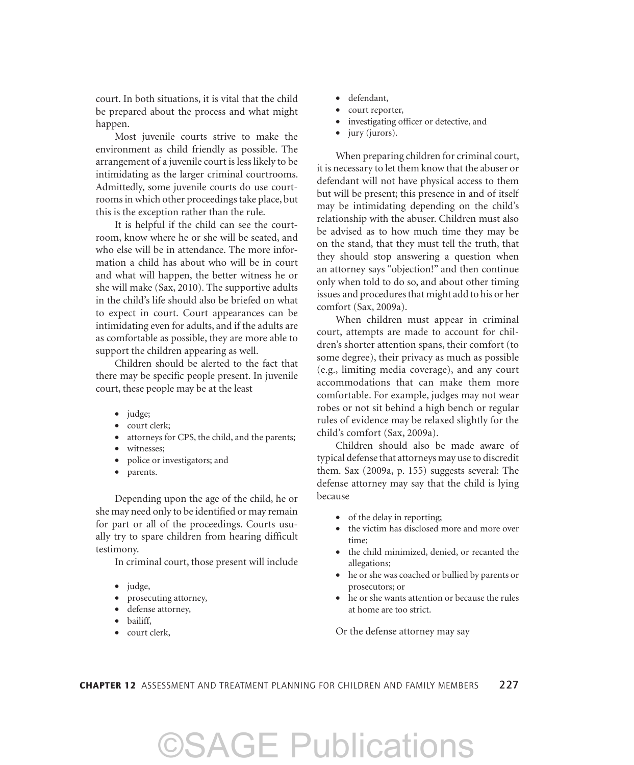court. In both situations, it is vital that the child be prepared about the process and what might happen.

Most juvenile courts strive to make the environment as child friendly as possible. The arrangement of a juvenile court is less likely to be intimidating as the larger criminal courtrooms. Admittedly, some juvenile courts do use courtrooms in which other proceedings take place, but this is the exception rather than the rule.

It is helpful if the child can see the courtroom, know where he or she will be seated, and who else will be in attendance. The more information a child has about who will be in court and what will happen, the better witness he or she will make (Sax, 2010). The supportive adults in the child's life should also be briefed on what to expect in court. Court appearances can be intimidating even for adults, and if the adults are as comfortable as possible, they are more able to support the children appearing as well.

Children should be alerted to the fact that there may be specific people present. In juvenile court, these people may be at the least

- judge;
- court clerk;
- attorneys for CPS, the child, and the parents;
- witnesses;
- police or investigators; and
- parents.

Depending upon the age of the child, he or she may need only to be identified or may remain for part or all of the proceedings. Courts usually try to spare children from hearing difficult testimony.

In criminal court, those present will include

- judge,
- prosecuting attorney,
- defense attorney,
- bailiff,
- court clerk,
- defendant,
- court reporter,
- investigating officer or detective, and
- jury (jurors).

When preparing children for criminal court, it is necessary to let them know that the abuser or defendant will not have physical access to them but will be present; this presence in and of itself may be intimidating depending on the child's relationship with the abuser. Children must also be advised as to how much time they may be on the stand, that they must tell the truth, that they should stop answering a question when an attorney says "objection!" and then continue only when told to do so, and about other timing issues and procedures that might add to his or her comfort (Sax, 2009a).

When children must appear in criminal court, attempts are made to account for children's shorter attention spans, their comfort (to some degree), their privacy as much as possible (e.g., limiting media coverage), and any court accommodations that can make them more comfortable. For example, judges may not wear robes or not sit behind a high bench or regular rules of evidence may be relaxed slightly for the child's comfort (Sax, 2009a).

Children should also be made aware of typical defense that attorneys may use to discredit them. Sax (2009a, p. 155) suggests several: The defense attorney may say that the child is lying because

- of the delay in reporting;
- the victim has disclosed more and more over time;
- the child minimized, denied, or recanted the allegations;
- he or she was coached or bullied by parents or prosecutors; or
- he or she wants attention or because the rules at home are too strict.

Or the defense attorney may say

CHAPTER 12 ASSESSMENT AND TREATMENT PLANNING FOR CHILDREN AND FAMILY MEMBERS 227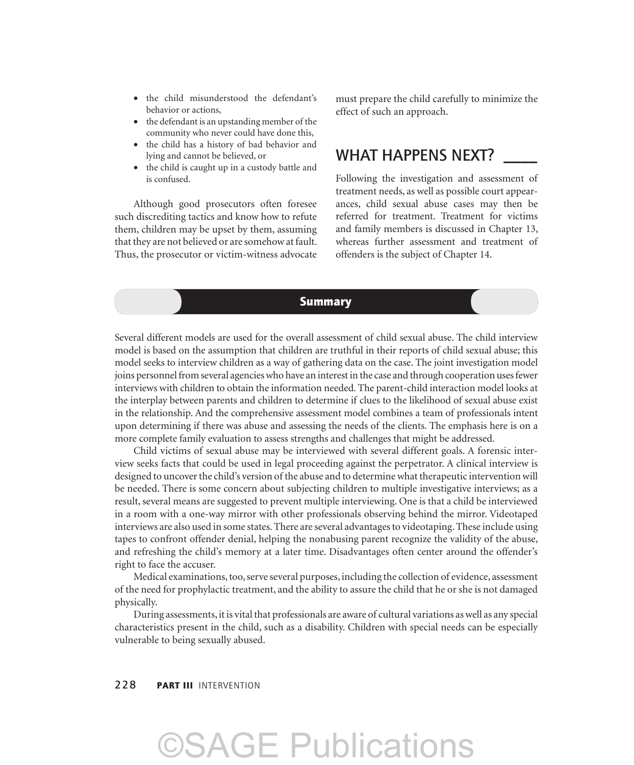- the child misunderstood the defendant's behavior or actions,
- the defendant is an upstanding member of the community who never could have done this,
- the child has a history of bad behavior and lying and cannot be believed, or
- the child is caught up in a custody battle and is confused.

Although good prosecutors often foresee such discrediting tactics and know how to refute them, children may be upset by them, assuming that they are not believed or are somehow at fault. Thus, the prosecutor or victim-witness advocate must prepare the child carefully to minimize the effect of such an approach.

### WHAT HAPPENS NEXT?

Following the investigation and assessment of treatment needs, as well as possible court appearances, child sexual abuse cases may then be referred for treatment. Treatment for victims and family members is discussed in Chapter 13, whereas further assessment and treatment of offenders is the subject of Chapter 14.

#### Summary

Several different models are used for the overall assessment of child sexual abuse. The child interview model is based on the assumption that children are truthful in their reports of child sexual abuse; this model seeks to interview children as a way of gathering data on the case. The joint investigation model joins personnel from several agencies who have an interest in the case and through cooperation uses fewer interviews with children to obtain the information needed. The parent-child interaction model looks at the interplay between parents and children to determine if clues to the likelihood of sexual abuse exist in the relationship. And the comprehensive assessment model combines a team of professionals intent upon determining if there was abuse and assessing the needs of the clients. The emphasis here is on a more complete family evaluation to assess strengths and challenges that might be addressed.

Child victims of sexual abuse may be interviewed with several different goals. A forensic interview seeks facts that could be used in legal proceeding against the perpetrator. A clinical interview is designed to uncover the child's version of the abuse and to determine what therapeutic intervention will be needed. There is some concern about subjecting children to multiple investigative interviews; as a result, several means are suggested to prevent multiple interviewing. One is that a child be interviewed in a room with a one-way mirror with other professionals observing behind the mirror. Videotaped interviews are also used in some states. There are several advantages to videotaping. These include using tapes to confront offender denial, helping the nonabusing parent recognize the validity of the abuse, and refreshing the child's memory at a later time. Disadvantages often center around the offender's right to face the accuser.

Medical examinations, too, serve several purposes, including the collection of evidence, assessment of the need for prophylactic treatment, and the ability to assure the child that he or she is not damaged physically.

During assessments, it is vital that professionals are aware of cultural variations as well as any special characteristics present in the child, such as a disability. Children with special needs can be especially vulnerable to being sexually abused.

#### 228 **PART III** INTERVENTION